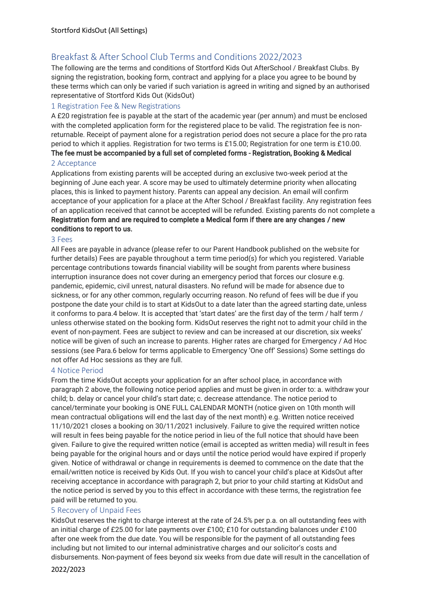# Breakfast & After School Club Terms and Conditions 2022/2023

The following are the terms and conditions of Stortford Kids Out AfterSchool / Breakfast Clubs. By signing the registration, booking form, contract and applying for a place you agree to be bound by these terms which can only be varied if such variation is agreed in writing and signed by an authorised representative of Stortford Kids Out (KidsOut)

## 1 Registration Fee & New Registrations

A £20 registration fee is payable at the start of the academic year (per annum) and must be enclosed with the completed application form for the registered place to be valid. The registration fee is nonreturnable. Receipt of payment alone for a registration period does not secure a place for the pro rata period to which it applies. Registration for two terms is £15.00; Registration for one term is £10.00.

The fee must be accompanied by a full set of completed forms - Registration, Booking & Medical

## 2 Acceptance

Applications from existing parents will be accepted during an exclusive two-week period at the beginning of June each year. A score may be used to ultimately determine priority when allocating places, this is linked to payment history. Parents can appeal any decision. An email will confirm acceptance of your application for a place at the After School / Breakfast facility. Any registration fees of an application received that cannot be accepted will be refunded. Existing parents do not complete a Registration form and are required to complete a Medical form if there are any changes / new conditions to report to us.

#### 3 Fees

All Fees are payable in advance (please refer to our Parent Handbook published on the website for further details) Fees are payable throughout a term time period(s) for which you registered. Variable percentage contributions towards financial viability will be sought from parents where business interruption insurance does not cover during an emergency period that forces our closure e.g. pandemic, epidemic, civil unrest, natural disasters. No refund will be made for absence due to sickness, or for any other common, regularly occurring reason. No refund of fees will be due if you postpone the date your child is to start at KidsOut to a date later than the agreed starting date, unless it conforms to para.4 below. It is accepted that 'start dates' are the first day of the term / half term / unless otherwise stated on the booking form. KidsOut reserves the right not to admit your child in the event of non-payment. Fees are subject to review and can be increased at our discretion, six weeks' notice will be given of such an increase to parents. Higher rates are charged for Emergency / Ad Hoc sessions (see Para.6 below for terms applicable to Emergency 'One off' Sessions) Some settings do not offer Ad Hoc sessions as they are full.

### 4 Notice Period

From the time KidsOut accepts your application for an after school place, in accordance with paragraph 2 above, the following notice period applies and must be given in order to: a. withdraw your child; b. delay or cancel your child's start date; c. decrease attendance. The notice period to cancel/terminate your booking is ONE FULL CALENDAR MONTH (notice given on 10th month will mean contractual obligations will end the last day of the next month) e.g. Written notice received 11/10/2021 closes a booking on 30/11/2021 inclusively. Failure to give the required written notice will result in fees being payable for the notice period in lieu of the full notice that should have been given. Failure to give the required written notice (email is accepted as written media) will result in fees being payable for the original hours and or days until the notice period would have expired if properly given. Notice of withdrawal or change in requirements is deemed to commence on the date that the email/written notice is received by Kids Out. If you wish to cancel your child's place at KidsOut after receiving acceptance in accordance with paragraph 2, but prior to your child starting at KidsOut and the notice period is served by you to this effect in accordance with these terms, the registration fee paid will be returned to you.

### 5 Recovery of Unpaid Fees

KidsOut reserves the right to charge interest at the rate of 24.5% per p.a. on all outstanding fees with an initial charge of £25.00 for late payments over £100; £10 for outstanding balances under £100 after one week from the due date. You will be responsible for the payment of all outstanding fees including but not limited to our internal administrative charges and our solicitor's costs and disbursements. Non-payment of fees beyond six weeks from due date will result in the cancellation of